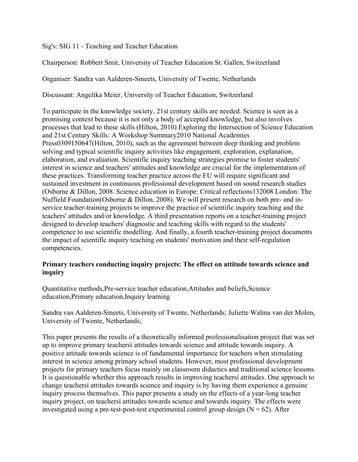Sig's: SIG 11 - Teaching and Teacher Education

Chairperson: Robbert Smit, University of Teacher Education St. Gallen, Switzerland

Organiser: Sandra van Aalderen-Smeets, University of Twente, Netherlands

Discussant: Angelika Meier, University of Teacher Education, Switzerland

To participate in the knowledge society, 21st century skills are needed. Science is seen as a promising context because it is not only a body of accepted knowledge, but also involves processes that lead to these skills (Hilton, 2010) Exploring the Intersection of Science Education and 21st Century Skills: A Workshop Summary2010 National Academies Press0309150647(Hilton, 2010), such as the agreement between deep thinking and problem solving and typical scientific inquiry activities like engagement, exploration, explanation, elaboration, and evaluation. Scientific inquiry teaching strategies promise to foster students' interest in science and teachers' attitudes and knowledge are crucial for the implementation of these practices. Transforming teacher practice across the EU will require significant and sustained investment in continuous professional development based on sound research studies (Osborne & Dillon, 2008. Science education in Europe: Critical reflections132008 London: The Nuffield Foundation(Osborne & Dillon, 2008). We will present research on both pre- and inservice teacher-training projects to improve the practice of scientific inquiry teaching and the teachers' attitudes and/or knowledge. A third presentation reports on a teacher-training project designed to develop teachers' diagnostic and teaching skills with regard to the students' competence to use scientific modelling. And finally, a fourth teacher-training project documents the impact of scientific inquiry teaching on students' motivation and their self-regulation competencies.

## **Primary teachers conducting inquiry projects: The effect on attitude towards science and inquiry**

Quantitative methods,Pre-service teacher education,Attitudes and beliefs,Science education,Primary education,Inquiry learning

Sandra van Aalderen-Smeets, University of Twente, Netherlands; Juliette Walma van der Molen, University of Twente, Netherlands;

This paper presents the results of a theoretically informed professionalisation project that was set up to improve primary teachersí attitudes towards science and attitude towards inquiry. A positive attitude towards science is of fundamental importance for teachers when stimulating interest in science among primary school students. However, most professional development projects for primary teachers focus mainly on classroom didactics and traditional science lessons. It is questionable whether this approach results in improving teachersí attitudes. One approach to change teachersí attitudes towards science and inquiry is by having them experience a genuine inquiry process themselves. This paper presents a study on the effects of a year-long teacher inquiry project, on teachersí attitudes towards science and towards inquiry. The effects were investigated using a pre-test-post-test experimental control group design  $(N = 62)$ . After